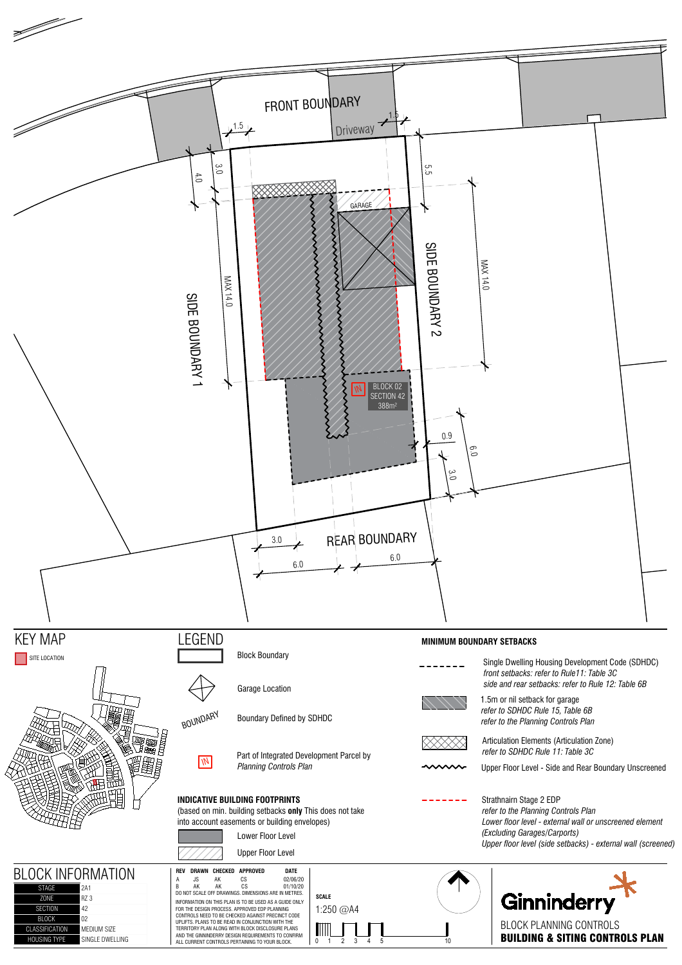